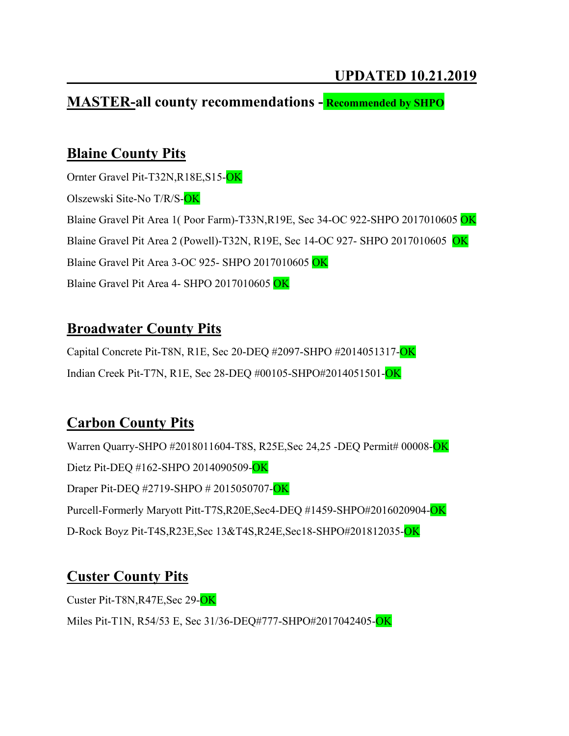#### **MASTER-all county recommendations - Recommended by SHPO**

### **Blaine County Pits**

Ornter Gravel Pit-T32N,R18E,S15-OK Olszewski Site-No T/R/S-OK Blaine Gravel Pit Area 1( Poor Farm)-T33N,R19E, Sec 34-OC 922-SHPO 2017010605 OK Blaine Gravel Pit Area 2 (Powell)-T32N, R19E, Sec 14-OC 927- SHPO 2017010605 OK Blaine Gravel Pit Area 3-OC 925- SHPO 2017010605 OK Blaine Gravel Pit Area 4- SHPO 2017010605 OK

#### **Broadwater County Pits**

Capital Concrete Pit-T8N, R1E, Sec 20-DEQ #2097-SHPO #2014051317-OK Indian Creek Pit-T7N, R1E, Sec 28-DEQ #00105-SHPO#2014051501-OK

## **Carbon County Pits**

Warren Quarry-SHPO #2018011604-T8S, R25E, Sec 24, 25 -DEQ Permit# 00008-OK Dietz Pit-DEQ #162-SHPO 2014090509-OK Draper Pit-DEQ #2719-SHPO # 2015050707-OK Purcell-Formerly Maryott Pitt-T7S,R20E,Sec4-DEQ #1459-SHPO#2016020904-OK D-Rock Boyz Pit-T4S,R23E,Sec 13&T4S,R24E,Sec18-SHPO#201812035-OK

## **Custer County Pits**

Custer Pit-T8N,R47E,Sec 29-OK

Miles Pit-T1N, R54/53 E, Sec 31/36-DEQ#777-SHPO#2017042405-OK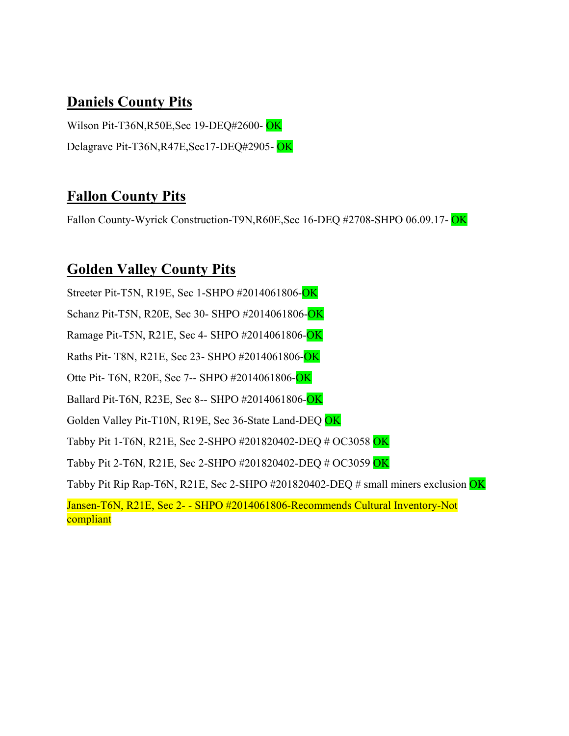### **Daniels County Pits**

Wilson Pit-T36N,R50E,Sec 19-DEQ#2600- OK Delagrave Pit-T36N,R47E,Sec17-DEQ#2905- OK

## **Fallon County Pits**

Fallon County-Wyrick Construction-T9N,R60E,Sec 16-DEQ #2708-SHPO 06.09.17- OK

### **Golden Valley County Pits**

Streeter Pit-T5N, R19E, Sec 1-SHPO #2014061806-OK Schanz Pit-T5N, R20E, Sec 30- SHPO #2014061806-OK Ramage Pit-T5N, R21E, Sec 4- SHPO #2014061806-OK Raths Pit- T8N, R21E, Sec 23- SHPO #2014061806-OK Otte Pit- T6N, R20E, Sec 7-- SHPO #2014061806-OK Ballard Pit-T6N, R23E, Sec 8-- SHPO #2014061806-OK Golden Valley Pit-T10N, R19E, Sec 36-State Land-DEQ OK Tabby Pit 1-T6N, R21E, Sec 2-SHPO #201820402-DEQ # OC3058 OK Tabby Pit 2-T6N, R21E, Sec 2-SHPO #201820402-DEQ # OC3059 OK Tabby Pit Rip Rap-T6N, R21E, Sec 2-SHPO #201820402-DEQ # small miners exclusion OK Jansen-T6N, R21E, Sec 2- - SHPO #2014061806-Recommends Cultural Inventory-Not compliant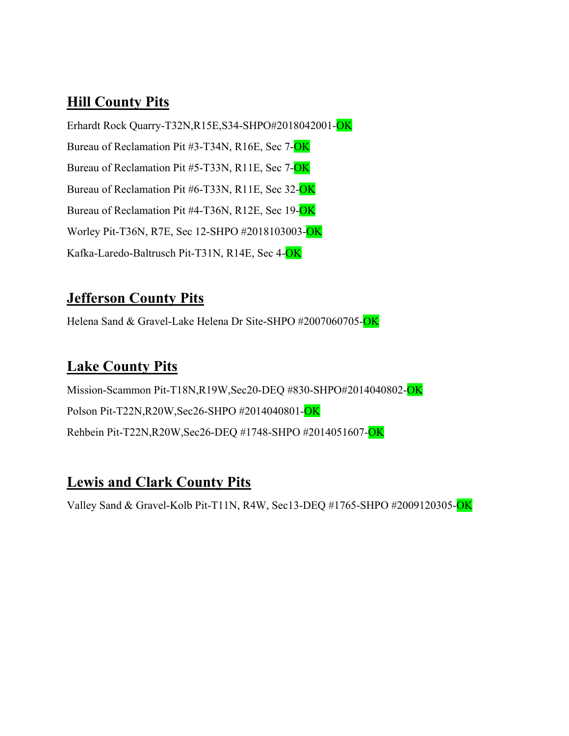## **Hill County Pits**

Erhardt Rock Quarry-T32N,R15E,S34-SHPO#2018042001-OK Bureau of Reclamation Pit #3-T34N, R16E, Sec 7-OK Bureau of Reclamation Pit #5-T33N, R11E, Sec 7-OK Bureau of Reclamation Pit #6-T33N, R11E, Sec 32-OK Bureau of Reclamation Pit #4-T36N, R12E, Sec 19-OK Worley Pit-T36N, R7E, Sec 12-SHPO #2018103003-OK Kafka-Laredo-Baltrusch Pit-T31N, R14E, Sec 4-OK

## **Jefferson County Pits**

Helena Sand & Gravel-Lake Helena Dr Site-SHPO #2007060705-OK

## **Lake County Pits**

Mission-Scammon Pit-T18N,R19W,Sec20-DEQ #830-SHPO#2014040802-OK Polson Pit-T22N,R20W,Sec26-SHPO #2014040801-OK Rehbein Pit-T22N,R20W,Sec26-DEQ #1748-SHPO #2014051607-OK

## **Lewis and Clark County Pits**

Valley Sand & Gravel-Kolb Pit-T11N, R4W, Sec13-DEQ #1765-SHPO #2009120305-OK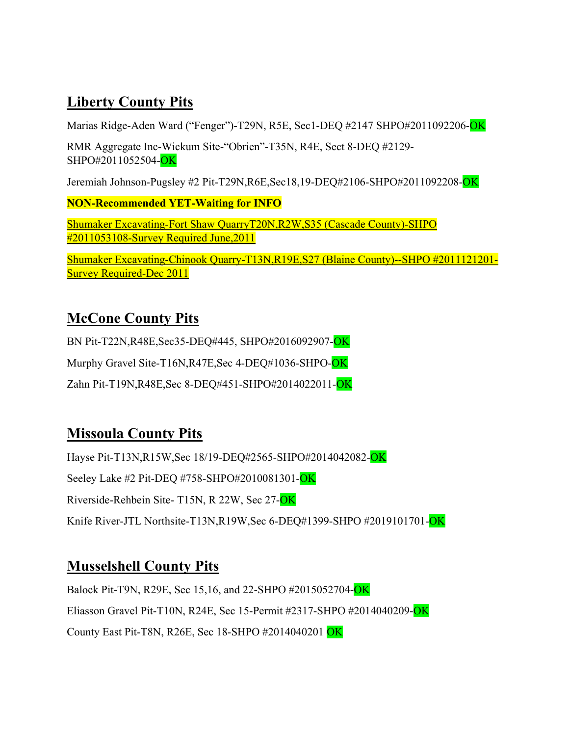# **Liberty County Pits**

Marias Ridge-Aden Ward ("Fenger")-T29N, R5E, Sec1-DEQ #2147 SHPO#2011092206-OK

RMR Aggregate Inc-Wickum Site-"Obrien"-T35N, R4E, Sect 8-DEQ #2129- SHPO#2011052504-OK

Jeremiah Johnson-Pugsley #2 Pit-T29N,R6E,Sec18,19-DEQ#2106-SHPO#2011092208-OK

**NON-Recommended YET-Waiting for INFO**

Shumaker Excavating-Fort Shaw QuarryT20N,R2W,S35 (Cascade County)-SHPO #2011053108-Survey Required June,2011

Shumaker Excavating-Chinook Quarry-T13N,R19E,S27 (Blaine County)--SHPO #2011121201- Survey Required-Dec 2011

## **McCone County Pits**

BN Pit-T22N,R48E,Sec35-DEQ#445, SHPO#2016092907-OK

Murphy Gravel Site-T16N, R47E, Sec 4-DEQ#1036-SHPO-OK

Zahn Pit-T19N,R48E,Sec 8-DEQ#451-SHPO#2014022011-OK

## **Missoula County Pits**

Hayse Pit-T13N,R15W,Sec 18/19-DEO#2565-SHPO#2014042082-OK Seeley Lake #2 Pit-DEQ #758-SHPO#2010081301-OK Riverside-Rehbein Site- T15N, R 22W, Sec 27-OK Knife River-JTL Northsite-T13N,R19W,Sec 6-DEQ#1399-SHPO #2019101701-OK

# **Musselshell County Pits**

Balock Pit-T9N, R29E, Sec 15,16, and 22-SHPO #2015052704-OK Eliasson Gravel Pit-T10N, R24E, Sec 15-Permit #2317-SHPO #2014040209-OK County East Pit-T8N, R26E, Sec 18-SHPO #2014040201 OK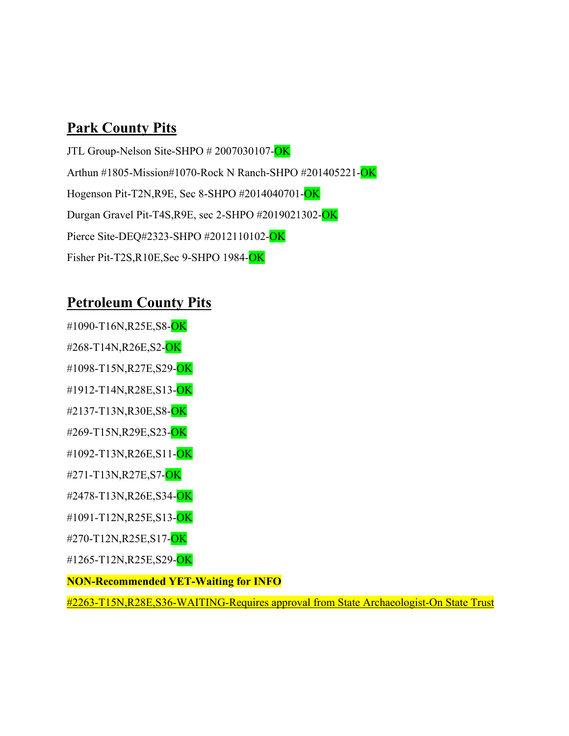# **Park County Pits**

JTL Group-Nelson Site-SHPO # 2007030107-OK Arthun #1805-Mission#1070-Rock N Ranch-SHPO #201405221-OK Hogenson Pit-T2N,R9E, Sec 8-SHPO #2014040701-OK Durgan Gravel Pit-T4S,R9E, sec 2-SHPO #2019021302-OK Pierce Site-DEQ#2323-SHPO #2012110102-OK Fisher Pit-T2S,R10E,Sec 9-SHPO 1984-OK

# **Petroleum County Pits**

- #1090-T16N,R25E,S8-OK
- #268-T14N,R26E,S2-OK
- #1098-T15N,R27E,S29-OK
- #1912-T14N,R28E,S13-OK
- #2137-T13N,R30E,S8-OK
- #269-T15N,R29E,S23-OK
- #1092-T13N,R26E,S11-OK
- #271-T13N,R27E,S7-OK
- #2478-T13N,R26E,S34-OK
- #1091-T12N,R25E,S13-OK
- #270-T12N,R25E,S17-OK
- #1265-T12N,R25E,S29-OK
- **NON-Recommended YET-Waiting for INFO**

#2263-T15N,R28E,S36-WAITING-Requires approval from State Archaeologist-On State Trust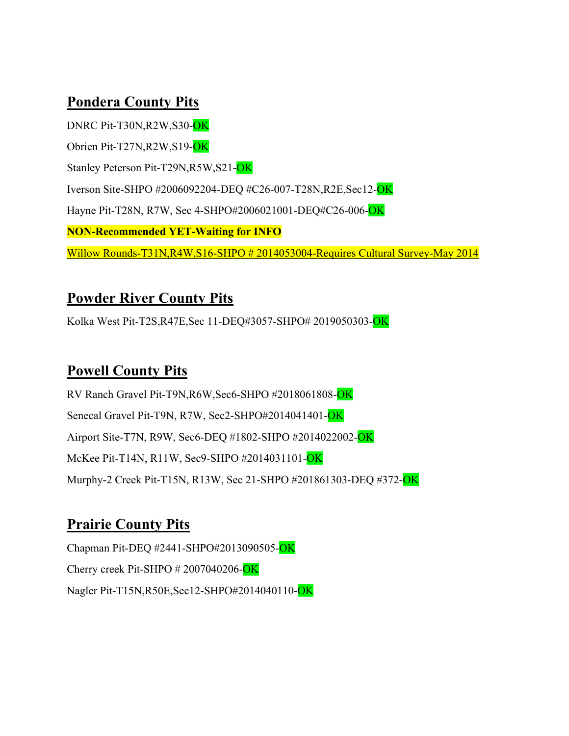## **Pondera County Pits**

DNRC Pit-T30N,R2W,S30-OK Obrien Pit-T27N,R2W,S19-OK Stanley Peterson Pit-T29N,R5W,S21-OK Iverson Site-SHPO #2006092204-DEQ #C26-007-T28N,R2E,Sec12-OK Hayne Pit-T28N, R7W, Sec 4-SHPO#2006021001-DEQ#C26-006-OK **NON-Recommended YET-Waiting for INFO** Willow Rounds-T31N,R4W,S16-SHPO # 2014053004-Requires Cultural Survey-May 2014

#### **Powder River County Pits**

Kolka West Pit-T2S,R47E,Sec 11-DEQ#3057-SHPO# 2019050303-OK

### **Powell County Pits**

RV Ranch Gravel Pit-T9N,R6W,Sec6-SHPO #2018061808-OK Senecal Gravel Pit-T9N, R7W, Sec2-SHPO#2014041401-OK Airport Site-T7N, R9W, Sec6-DEQ #1802-SHPO #2014022002-OK McKee Pit-T14N, R11W, Sec9-SHPO #2014031101-OK Murphy-2 Creek Pit-T15N, R13W, Sec 21-SHPO #201861303-DEQ #372-OK

## **Prairie County Pits**

Chapman Pit-DEQ #2441-SHPO#2013090505-OK Cherry creek Pit-SHPO # 2007040206-OK Nagler Pit-T15N,R50E,Sec12-SHPO#2014040110-OK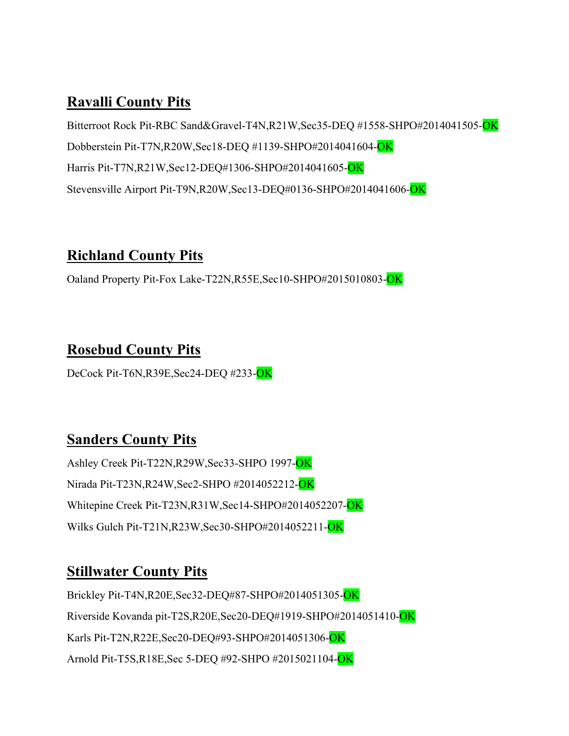## **Ravalli County Pits**

Bitterroot Rock Pit-RBC Sand&Gravel-T4N,R21W,Sec35-DEQ #1558-SHPO#2014041505-OK Dobberstein Pit-T7N,R20W,Sec18-DEQ #1139-SHPO#2014041604-OK Harris Pit-T7N,R21W,Sec12-DEQ#1306-SHPO#2014041605-OK Stevensville Airport Pit-T9N,R20W,Sec13-DEQ#0136-SHPO#2014041606-OK

## **Richland County Pits**

Oaland Property Pit-Fox Lake-T22N,R55E,Sec10-SHPO#2015010803-OK

## **Rosebud County Pits**

DeCock Pit-T6N,R39E,Sec24-DEQ #233-OK

## **Sanders County Pits**

Ashley Creek Pit-T22N,R29W,Sec33-SHPO 1997-OK Nirada Pit-T23N,R24W,Sec2-SHPO #2014052212-OK Whitepine Creek Pit-T23N,R31W,Sec14-SHPO#2014052207-OK Wilks Gulch Pit-T21N,R23W,Sec30-SHPO#2014052211-OK

## **Stillwater County Pits**

Brickley Pit-T4N,R20E,Sec32-DEQ#87-SHPO#2014051305-OK Riverside Kovanda pit-T2S,R20E,Sec20-DEQ#1919-SHPO#2014051410-OK Karls Pit-T2N,R22E,Sec20-DEQ#93-SHPO#2014051306-OK Arnold Pit-T5S,R18E,Sec 5-DEQ #92-SHPO #2015021104-OK